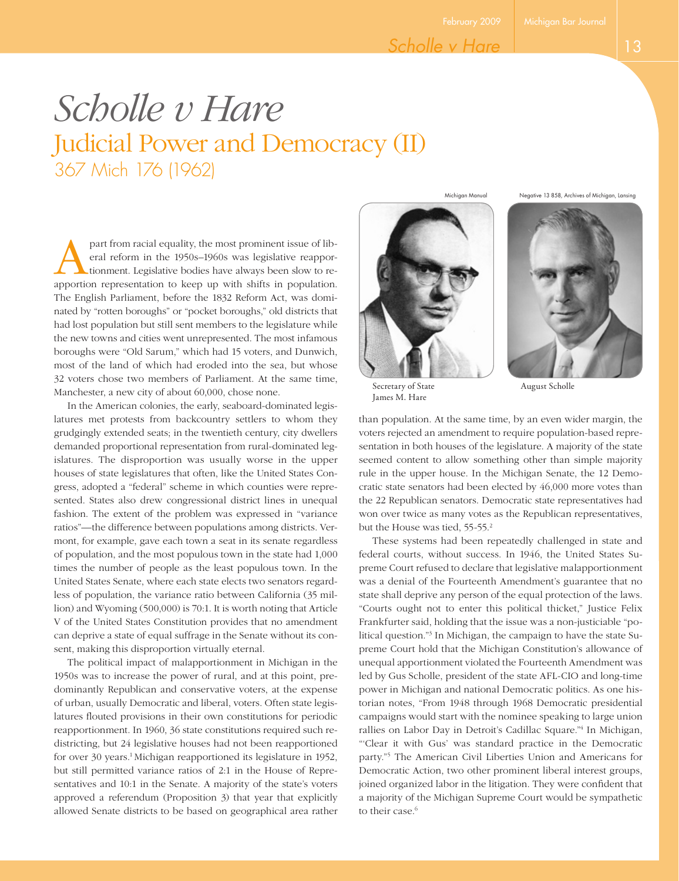February 2009 Michigan Bar Journal

# *Scholle v Hare* Judicial Power and Democracy (II) 367 Mich 176 (1962)

part from racial equality, the most prominent issue of lib-<br>eral reform in the 1950s–1960s was legislative reappor-<br>tionment. Legislative bodies have always been slow to re-<br>apportion representation to keep up with shifts eral reform in the 1950s–1960s was legislative reapportionment. Legislative bodies have always been slow to reapportion representation to keep up with shifts in population. The English Parliament, before the 1832 Reform Act, was dominated by "rotten boroughs" or "pocket boroughs," old districts that had lost population but still sent members to the legislature while the new towns and cities went unrepresented. The most infamous boroughs were "Old Sarum," which had 15 voters, and Dunwich, most of the land of which had eroded into the sea, but whose 32 voters chose two members of Parliament. At the same time, Manchester, a new city of about 60,000, chose none.

In the American colonies, the early, seaboard-dominated legislatures met protests from backcountry settlers to whom they grudgingly extended seats; in the twentieth century, city dwellers demanded proportional representation from rural-dominated legislatures. The disproportion was usually worse in the upper houses of state legislatures that often, like the United States Congress, adopted a "federal" scheme in which counties were represented. States also drew congressional district lines in unequal fashion. The extent of the problem was expressed in "variance ratios"—the difference between populations among districts. Vermont, for example, gave each town a seat in its senate regardless of population, and the most populous town in the state had 1,000 times the number of people as the least populous town. In the United States Senate, where each state elects two senators regardless of population, the variance ratio between California (35 million) and Wyoming (500,000) is 70:1. It is worth noting that Article V of the United States Constitution provides that no amendment can deprive a state of equal suffrage in the Senate without its consent, making this disproportion virtually eternal.

The political impact of malapportionment in Michigan in the 1950s was to increase the power of rural, and at this point, predominantly Republican and conservative voters, at the expense of urban, usually Democratic and liberal, voters. Often state legislatures flouted provisions in their own constitutions for periodic reapportionment. In 1960, 36 state constitutions required such redistricting, but 24 legislative houses had not been reapportioned for over 30 years.<sup>1</sup> Michigan reapportioned its legislature in 1952, but still permitted variance ratios of 2:1 in the House of Representatives and 10:1 in the Senate. A majority of the state's voters approved a referendum (Proposition 3) that year that explicitly allowed Senate districts to be based on geographical area rather



Michigan Manual Negative 13 858, Archives of Michigan, Lansing



than population. At the same time, by an even wider margin, the voters rejected an amendment to require population-based representation in both houses of the legislature. A majority of the state seemed content to allow something other than simple majority rule in the upper house. In the Michigan Senate, the 12 Democratic state senators had been elected by 46,000 more votes than the 22 Republican senators. Democratic state representatives had won over twice as many votes as the Republican representatives, but the House was tied, 55-55.<sup>2</sup>

These systems had been repeatedly challenged in state and federal courts, without success. In 1946, the United States Supreme Court refused to declare that legislative malapportionment was a denial of the Fourteenth Amendment's guarantee that no state shall deprive any person of the equal protection of the laws. "Courts ought not to enter this political thicket," Justice Felix Frankfurter said, holding that the issue was a non-justiciable "political question."3 In Michigan, the campaign to have the state Supreme Court hold that the Michigan Constitution's allowance of unequal apportionment violated the Fourteenth Amendment was led by Gus Scholle, president of the state AFL-CIO and long-time power in Michigan and national Democratic politics. As one historian notes, "From 1948 through 1968 Democratic presidential campaigns would start with the nominee speaking to large union rallies on Labor Day in Detroit's Cadillac Square."4 In Michigan, "'Clear it with Gus' was standard practice in the Democratic party."5 The American Civil Liberties Union and Americans for Democratic Action, two other prominent liberal interest groups, joined organized labor in the litigation. They were confident that a majority of the Michigan Supreme Court would be sympathetic to their case.<sup>6</sup>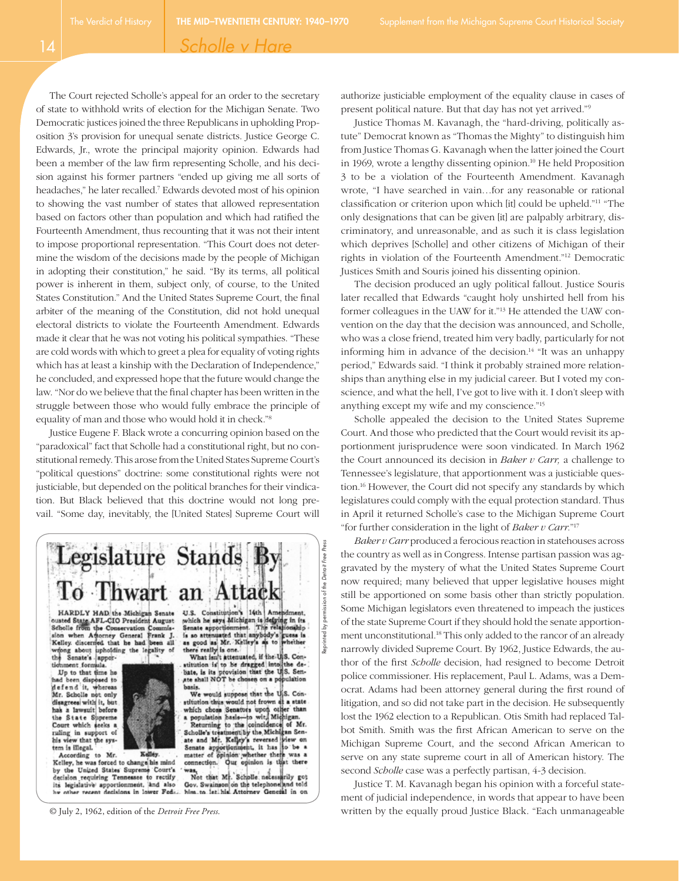14

### *Scholle v Hare*

The Court rejected Scholle's appeal for an order to the secretary of state to withhold writs of election for the Michigan Senate. Two Democratic justices joined the three Republicans in upholding Proposition 3's provision for unequal senate districts. Justice George C. Edwards, Jr., wrote the principal majority opinion. Edwards had been a member of the law firm representing Scholle, and his decision against his former partners "ended up giving me all sorts of headaches," he later recalled.7 Edwards devoted most of his opinion to showing the vast number of states that allowed representation based on factors other than population and which had ratified the Fourteenth Amendment, thus recounting that it was not their intent to impose proportional representation. "This Court does not determine the wisdom of the decisions made by the people of Michigan in adopting their constitution," he said. "By its terms, all political power is inherent in them, subject only, of course, to the United States Constitution." And the United States Supreme Court, the final arbiter of the meaning of the Constitution, did not hold unequal electoral districts to violate the Fourteenth Amendment. Edwards made it clear that he was not voting his political sympathies. "These are cold words with which to greet a plea for equality of voting rights which has at least a kinship with the Declaration of Independence," he concluded, and expressed hope that the future would change the law. "Nor do we believe that the final chapter has been written in the struggle between those who would fully embrace the principle of equality of man and those who would hold it in check."8

Justice Eugene F. Black wrote a concurring opinion based on the "paradoxical" fact that Scholle had a constitutional right, but no constitutional remedy. This arose from the United States Supreme Court's "political questions" doctrine: some constitutional rights were not justiciable, but depended on the political branches for their vindication. But Black believed that this doctrine would not long prevail. "Some day, inevitably, the [United States] Supreme Court will



HARDLY HAD the Michigan Senate<br>ousted State AFL-CIO President August<br>Scholle from the Conservation Commis-Scholle from the Conservation Commission when Attorney General Frank J.<br>Kelley discerned that he had been all eng about upholding the legality of Senate's apporthe

ment formula Up to that time he been disposed to had been disposed to<br>defend it, whereas<br>Mr. Scholle not only disagrees with it, but a lawsuit before the State Supreme Court which seeks a ruling in support of his view that the system is illegal.

According to Mr. Kelley.<br>Kelley, he was forced to change his mind by the United States Supreme Court's decision requiring Tennessee to rectify<br>its legislative apportionment, and also<br>he other recent decisions in lower Fed...

U.S. Constitution's 14th Ameridment.<br>which he says Michigan is defying in its<br>Senate apportionment. The relationship is so attenuated that anybody's guess is<br>as good as Mr. Kelley's as to whether as good as Mr. Kelley's as to whether<br>there really is one. What isn't attenuated, if the U.S. ConReprinted by permission of the *Detroit Free Press*

Reprinted by permission of the Detroit Free Press

stitution is to be dragged into the de-<br>bate, is its provision that the U.S. Sen-<br>ate shall NOT be chosen on a population

basis. We would suppose that the U.S. Con-<br>witch minis would not frown at a state<br>which chose Senators upon other than<br>a population basis—to witch Michigan.<br>Returning to the coincidence of Mr.<br>Scholle's transfersively the

science is used in Kelley's teverand view on<br>Senate apportionment, it has to be a<br>matter of opinion whether there was a<br>connection. Our opinion is that there

ess,<br>Not that Mr. Scholle necessarily got<br>iov. Swainson on the telephone and told Gov. Swainson on the telephone him to let his Attorney Genetal in on

© July 2, 1962, edition of the *Detroit Free Press.*

authorize justiciable employment of the equality clause in cases of present political nature. But that day has not yet arrived."9

Justice Thomas M. Kavanagh, the "hard-driving, politically astute" Democrat known as "Thomas the Mighty" to distinguish him from Justice Thomas G. Kavanagh when the latter joined the Court in 1969, wrote a lengthy dissenting opinion.<sup>10</sup> He held Proposition 3 to be a violation of the Fourteenth Amendment. Kavanagh wrote, "I have searched in vain…for any reasonable or rational classification or criterion upon which [it] could be upheld."11 "The only designations that can be given [it] are palpably arbitrary, discriminatory, and unreasonable, and as such it is class legislation which deprives [Scholle] and other citizens of Michigan of their rights in violation of the Fourteenth Amendment."12 Democratic Justices Smith and Souris joined his dissenting opinion.

The decision produced an ugly political fallout. Justice Souris later recalled that Edwards "caught holy unshirted hell from his former colleagues in the UAW for it."13 He attended the UAW convention on the day that the decision was announced, and Scholle, who was a close friend, treated him very badly, particularly for not informing him in advance of the decision.<sup>14</sup> "It was an unhappy period," Edwards said. "I think it probably strained more relationships than anything else in my judicial career. But I voted my conscience, and what the hell, I've got to live with it. I don't sleep with anything except my wife and my conscience."15

Scholle appealed the decision to the United States Supreme Court. And those who predicted that the Court would revisit its apportionment jurisprudence were soon vindicated. In March 1962 the Court announced its decision in *Baker v Carr,* a challenge to Tennessee's legislature, that apportionment was a justiciable question.16 However, the Court did not specify any standards by which legislatures could comply with the equal protection standard. Thus in April it returned Scholle's case to the Michigan Supreme Court "for further consideration in the light of *Baker v Carr.*"17

*Baker v Carr* produced a ferocious reaction in statehouses across the country as well as in Congress. Intense partisan passion was aggravated by the mystery of what the United States Supreme Court now required; many believed that upper legislative houses might still be apportioned on some basis other than strictly population. Some Michigan legislators even threatened to impeach the justices of the state Supreme Court if they should hold the senate apportionment unconstitutional.<sup>18</sup> This only added to the rancor of an already narrowly divided Supreme Court. By 1962, Justice Edwards, the author of the first *Scholle* decision, had resigned to become Detroit police commissioner. His replacement, Paul L. Adams, was a Democrat. Adams had been attorney general during the first round of litigation, and so did not take part in the decision. He subsequently lost the 1962 election to a Republican. Otis Smith had replaced Talbot Smith. Smith was the first African American to serve on the Michigan Supreme Court, and the second African American to serve on any state supreme court in all of American history. The second *Scholle* case was a perfectly partisan, 4-3 decision.

Justice T. M. Kavanagh began his opinion with a forceful statement of judicial independence, in words that appear to have been written by the equally proud Justice Black. "Each unmanageable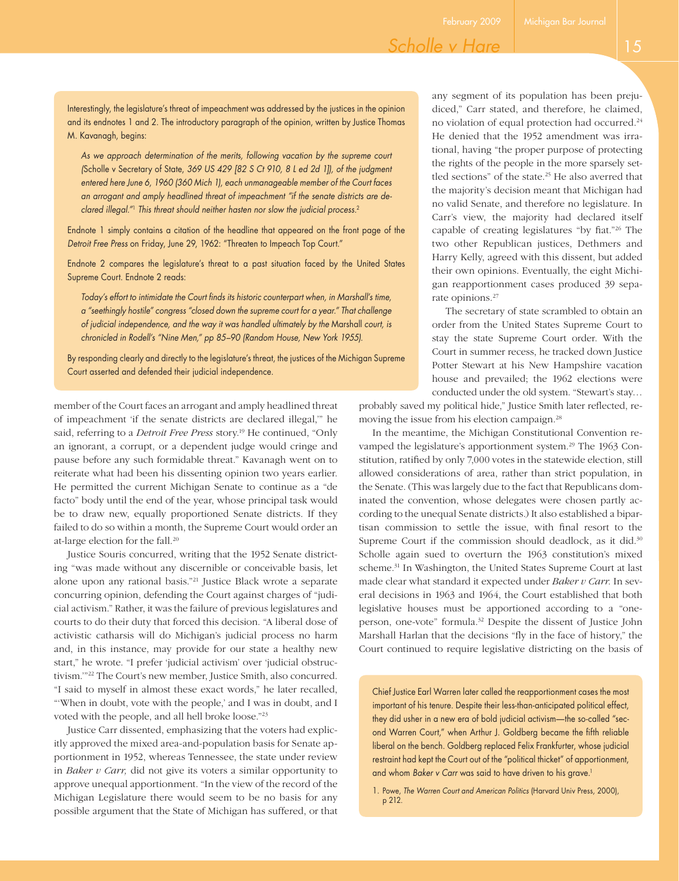## *Scholle v Hare*

Interestingly, the legislature's threat of impeachment was addressed by the justices in the opinion and its endnotes 1 and 2. The introductory paragraph of the opinion, written by Justice Thomas M. Kavanagh, begins:

As we approach determination of the merits, following vacation by the supreme court *(*Scholle v Secretary of State, *369 US 429 [82 S Ct 910, 8 L ed 2d 1]), of the judgment entered here June 6, 1960 (360 Mich 1), each unmanageable member of the Court faces an arrogant and amply headlined threat of impeachment "if the senate districts are declared illegal."*<sup>1</sup> *This threat should neither hasten nor slow the judicial process.*<sup>2</sup>

Endnote 1 simply contains a citation of the headline that appeared on the front page of the *Detroit Free Press* on Friday, June 29, 1962: "Threaten to Impeach Top Court."

Endnote 2 compares the legislature's threat to a past situation faced by the United States Supreme Court. Endnote 2 reads:

*Today's effort to intimidate the Court finds its historic counterpart when, in Marshall's time, a "seethingly hostile" congress "closed down the supreme court for a year." That challenge of judicial independence, and the way it was handled ultimately by the* Marshall *court, is chronicled in Rodell's "Nine Men," pp 85–90 (Random House, New York 1955).*

By responding clearly and directly to the legislature's threat, the justices of the Michigan Supreme Court asserted and defended their judicial independence.

member of the Court faces an arrogant and amply headlined threat of impeachment 'if the senate districts are declared illegal,'" he said, referring to a *Detroit Free Press* story.<sup>19</sup> He continued, "Only an ignorant, a corrupt, or a dependent judge would cringe and pause before any such formidable threat." Kavanagh went on to reiterate what had been his dissenting opinion two years earlier. He permitted the current Michigan Senate to continue as a "de facto" body until the end of the year, whose principal task would be to draw new, equally proportioned Senate districts. If they failed to do so within a month, the Supreme Court would order an at-large election for the fall.20

Justice Souris concurred, writing that the 1952 Senate districting "was made without any discernible or conceivable basis, let alone upon any rational basis."21 Justice Black wrote a separate concurring opinion, defending the Court against charges of "judicial activism." Rather, it was the failure of previous legislatures and courts to do their duty that forced this decision. "A liberal dose of activistic catharsis will do Michigan's judicial process no harm and, in this instance, may provide for our state a healthy new start," he wrote. "I prefer 'judicial activism' over 'judicial obstructivism.'"22 The Court's new member, Justice Smith, also concurred. "I said to myself in almost these exact words," he later recalled, "'When in doubt, vote with the people,' and I was in doubt, and I voted with the people, and all hell broke loose."23

Justice Carr dissented, emphasizing that the voters had explicitly approved the mixed area-and-population basis for Senate apportionment in 1952, whereas Tennessee, the state under review in *Baker v Carr,* did not give its voters a similar opportunity to approve unequal apportionment. "In the view of the record of the Michigan Legislature there would seem to be no basis for any possible argument that the State of Michigan has suffered, or that

any segment of its population has been prejudiced," Carr stated, and therefore, he claimed, no violation of equal protection had occurred.24 He denied that the 1952 amendment was irrational, having "the proper purpose of protecting the rights of the people in the more sparsely settled sections" of the state.<sup>25</sup> He also averred that the majority's decision meant that Michigan had no valid Senate, and therefore no legislature. In Carr's view, the majority had declared itself capable of creating legislatures "by fiat."26 The two other Republican justices, Dethmers and Harry Kelly, agreed with this dissent, but added their own opinions. Eventually, the eight Michigan reapportionment cases produced 39 separate opinions.<sup>27</sup>

The secretary of state scrambled to obtain an order from the United States Supreme Court to stay the state Supreme Court order. With the Court in summer recess, he tracked down Justice Potter Stewart at his New Hampshire vacation house and prevailed; the 1962 elections were conducted under the old system. "Stewart's stay…

probably saved my political hide," Justice Smith later reflected, removing the issue from his election campaign.28

In the meantime, the Michigan Constitutional Convention revamped the legislature's apportionment system.<sup>29</sup> The 1963 Constitution, ratified by only 7,000 votes in the statewide election, still allowed considerations of area, rather than strict population, in the Senate. (This was largely due to the fact that Republicans dominated the convention, whose delegates were chosen partly according to the unequal Senate districts.) It also established a bipartisan commission to settle the issue, with final resort to the Supreme Court if the commission should deadlock, as it did.<sup>30</sup> Scholle again sued to overturn the 1963 constitution's mixed scheme.<sup>31</sup> In Washington, the United States Supreme Court at last made clear what standard it expected under *Baker v Carr.* In several decisions in 1963 and 1964, the Court established that both legislative houses must be apportioned according to a "oneperson, one-vote" formula.32 Despite the dissent of Justice John Marshall Harlan that the decisions "fly in the face of history," the Court continued to require legislative districting on the basis of

Chief Justice Earl Warren later called the reapportionment cases the most important of his tenure. Despite their less-than-anticipated political effect, they did usher in a new era of bold judicial activism—the so-called "second Warren Court," when Arthur J. Goldberg became the fifth reliable liberal on the bench. Goldberg replaced Felix Frankfurter, whose judicial restraint had kept the Court out of the "political thicket" of apportionment, and whom *Baker v Carr* was said to have driven to his grave.<sup>1</sup>

1. Powe, *The Warren Court and American Politics* (Harvard Univ Press, 2000), p 212.